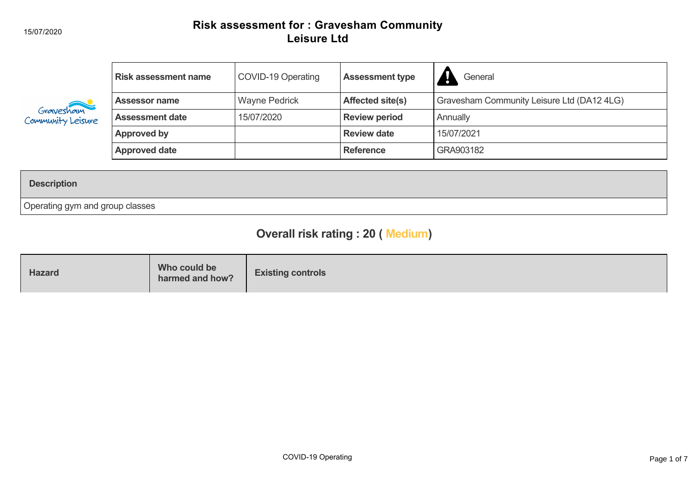#### 15/07/2020

## **Risk assessment for : Gravesham Community Leisure Ltd**

| Gravesham<br>Community Leisure | <b>Risk assessment name</b> | COVID-19 Operating   | <b>Assessment type</b>  | General                                    |
|--------------------------------|-----------------------------|----------------------|-------------------------|--------------------------------------------|
|                                | <b>Assessor name</b>        | <b>Wayne Pedrick</b> | <b>Affected site(s)</b> | Gravesham Community Leisure Ltd (DA12 4LG) |
|                                | <b>Assessment date</b>      | 15/07/2020           | <b>Review period</b>    | Annually                                   |
|                                | Approved by                 |                      | <b>Review date</b>      | 15/07/2021                                 |
|                                | <b>Approved date</b>        |                      | <b>Reference</b>        | GRA903182                                  |

### **Description**

Operating gym and group classes

# **Overall risk rating : 20 ( Medium)**

| Who could be<br><b>Hazard</b><br>harmed and how? | <b>Existing controls</b> |
|--------------------------------------------------|--------------------------|
|--------------------------------------------------|--------------------------|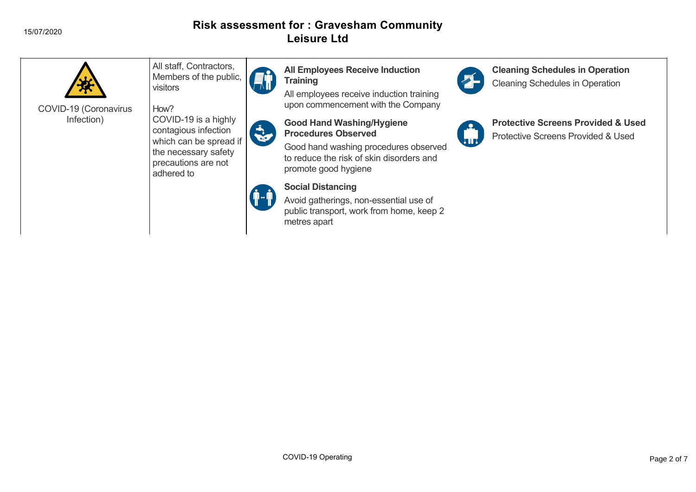#### 15/07/2020

## **Risk assessment for : Gravesham Community Leisure Ltd**



COVID-19 (Coronavirus Infection)

All staff, Contractors, Members of the public, visitors

How? COVID-19 is a highly contagious infection which can be spread if the necessary safety precautions are not adhered to







# **Social Distancing**

Avoid gatherings, non-essential use of public transport, work from home, keep 2 metres apart

**All Employees Receive Induction**

**Good Hand Washing/Hygiene**

promote good hygiene

upon commencement with the Company



**Cleaning Schedules in Operation** Cleaning Schedules in Operation

## **Protective Screens Provided & Used**

Protective Screens Provided & Used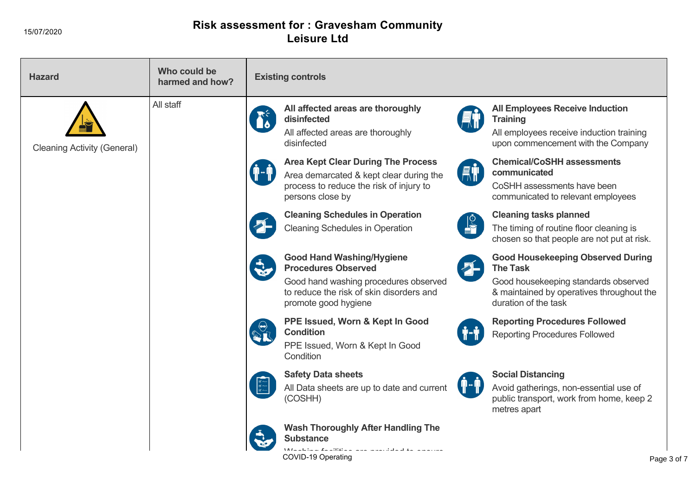## **Risk assessment for : Gravesham Community Leisure Ltd**

| <b>Hazard</b>                      | Who could be<br>harmed and how? | <b>Existing controls</b>                                                                                                                                                                                                                                                                                                                                                         |
|------------------------------------|---------------------------------|----------------------------------------------------------------------------------------------------------------------------------------------------------------------------------------------------------------------------------------------------------------------------------------------------------------------------------------------------------------------------------|
| <b>Cleaning Activity (General)</b> | All staff                       | All affected areas are thoroughly<br><b>All Employees Receive Induction</b><br>disinfected<br><b>Training</b><br>All affected areas are thoroughly<br>All employees receive induction training<br>disinfected<br>upon commencement with the Company                                                                                                                              |
|                                    |                                 | <b>Chemical/CoSHH assessments</b><br><b>Area Kept Clear During The Process</b><br><b>AT</b><br>communicated<br>Area demarcated & kept clear during the<br>process to reduce the risk of injury to<br>CoSHH assessments have been<br>persons close by<br>communicated to relevant employees                                                                                       |
|                                    |                                 | <b>Cleaning Schedules in Operation</b><br><b>Cleaning tasks planned</b><br>$\frac{10}{10}$<br><b>Cleaning Schedules in Operation</b><br>The timing of routine floor cleaning is<br>chosen so that people are not put at risk.                                                                                                                                                    |
|                                    |                                 | <b>Good Hand Washing/Hygiene</b><br><b>Good Housekeeping Observed During</b><br>$\blacktriangleright$<br><b>Procedures Observed</b><br><b>The Task</b><br>Good hand washing procedures observed<br>Good housekeeping standards observed<br>to reduce the risk of skin disorders and<br>& maintained by operatives throughout the<br>duration of the task<br>promote good hygiene |
|                                    |                                 | PPE Issued, Worn & Kept In Good<br><b>Reporting Procedures Followed</b><br><b>Condition</b><br><b>Reporting Procedures Followed</b><br>PPE Issued, Worn & Kept In Good<br>Condition                                                                                                                                                                                              |
|                                    |                                 | <b>Safety Data sheets</b><br><b>Social Distancing</b><br>All Data sheets are up to date and current<br>Avoid gatherings, non-essential use of<br>(COSHH)<br>public transport, work from home, keep 2<br>metres apart                                                                                                                                                             |
|                                    |                                 | <b>Wash Thoroughly After Handling The</b><br><b>Substance</b>                                                                                                                                                                                                                                                                                                                    |
|                                    |                                 | فسأحفظ فلأسفاء المتأمين فتفاع وكالألالة فأرعاها<br>COVID-19 Operating<br>Page 3 of 7                                                                                                                                                                                                                                                                                             |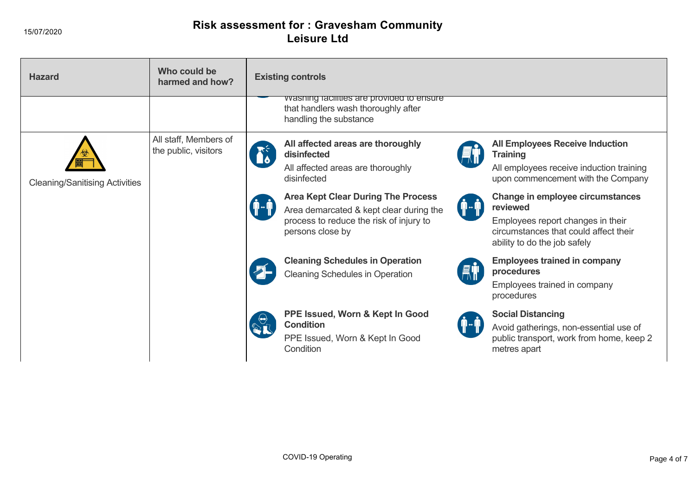15/07/2020

## **Risk assessment for : Gravesham Community Leisure Ltd**

| <b>Hazard</b>                         | Who could be<br>harmed and how?               | <b>Existing controls</b>                                                                                                                                                                                                                                                                                                 |
|---------------------------------------|-----------------------------------------------|--------------------------------------------------------------------------------------------------------------------------------------------------------------------------------------------------------------------------------------------------------------------------------------------------------------------------|
|                                       |                                               | vvasning racilities are provided to ensure<br>that handlers wash thoroughly after<br>handling the substance                                                                                                                                                                                                              |
| <b>Cleaning/Sanitising Activities</b> | All staff, Members of<br>the public, visitors | All affected areas are thoroughly<br><b>All Employees Receive Induction</b><br>disinfected<br><b>Training</b><br>All affected areas are thoroughly<br>All employees receive induction training<br>disinfected<br>upon commencement with the Company                                                                      |
|                                       |                                               | <b>Area Kept Clear During The Process</b><br>Change in employee circumstances<br>reviewed<br>¶⊶¶<br>Area demarcated & kept clear during the<br>process to reduce the risk of injury to<br>Employees report changes in their<br>circumstances that could affect their<br>persons close by<br>ability to do the job safely |
|                                       |                                               | <b>Cleaning Schedules in Operation</b><br><b>Employees trained in company</b><br>procedures<br><b>Cleaning Schedules in Operation</b><br>Employees trained in company<br>procedures                                                                                                                                      |
|                                       |                                               | PPE Issued, Worn & Kept In Good<br><b>Social Distancing</b><br><b>Condition</b><br>Avoid gatherings, non-essential use of<br>PPE Issued, Worn & Kept In Good<br>public transport, work from home, keep 2<br>Condition<br>metres apart                                                                                    |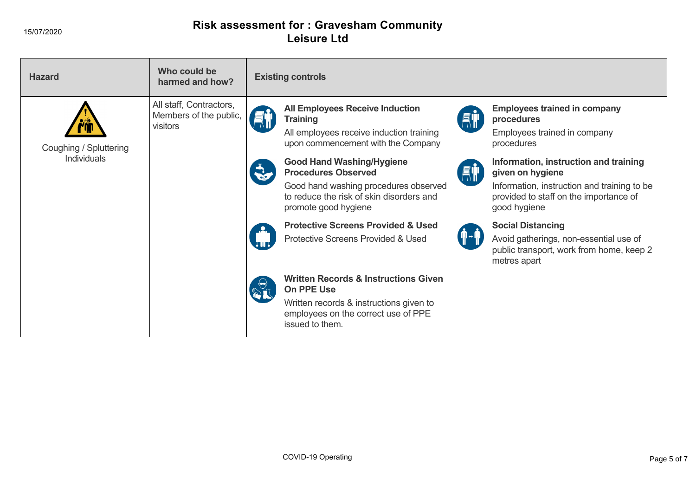## **Risk assessment for : Gravesham Community Leisure Ltd**

| <b>Hazard</b>          | Who could be<br>harmed and how?                               | <b>Existing controls</b>                                                                                                                                                                                                                                                                                                                                        |
|------------------------|---------------------------------------------------------------|-----------------------------------------------------------------------------------------------------------------------------------------------------------------------------------------------------------------------------------------------------------------------------------------------------------------------------------------------------------------|
| Coughing / Spluttering | All staff, Contractors,<br>Members of the public,<br>visitors | <b>All Employees Receive Induction</b><br><b>Employees trained in company</b><br><b>AT</b><br><b>Training</b><br>procedures<br>All employees receive induction training<br>Employees trained in company<br>upon commencement with the Company<br>procedures                                                                                                     |
| <b>Individuals</b>     |                                                               | <b>Good Hand Washing/Hygiene</b><br>Information, instruction and training<br><b>AT</b><br><b>Procedures Observed</b><br>given on hygiene<br>Good hand washing procedures observed<br>Information, instruction and training to be.<br>to reduce the risk of skin disorders and<br>provided to staff on the importance of<br>promote good hygiene<br>good hygiene |
|                        |                                                               | <b>Protective Screens Provided &amp; Used</b><br><b>Social Distancing</b><br>Protective Screens Provided & Used<br>Avoid gatherings, non-essential use of<br>public transport, work from home, keep 2<br>metres apart                                                                                                                                           |
|                        |                                                               | <b>Written Records &amp; Instructions Given</b><br>On PPE Use                                                                                                                                                                                                                                                                                                   |
|                        |                                                               | Written records & instructions given to<br>employees on the correct use of PPE<br>issued to them.                                                                                                                                                                                                                                                               |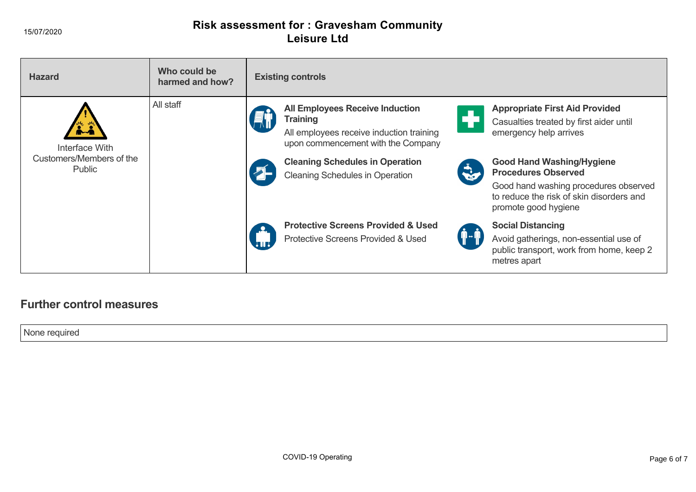## **Risk assessment for : Gravesham Community Leisure Ltd**

| <b>Hazard</b>                             | Who could be<br>harmed and how? | <b>Existing controls</b>                                                                                                                                                                                                                                                     |
|-------------------------------------------|---------------------------------|------------------------------------------------------------------------------------------------------------------------------------------------------------------------------------------------------------------------------------------------------------------------------|
| Interface With                            | All staff                       | <b>All Employees Receive Induction</b><br><b>Appropriate First Aid Provided</b><br><b>Training</b><br>Casualties treated by first aider until<br>All employees receive induction training<br>emergency help arrives<br>upon commencement with the Company                    |
| Customers/Members of the<br><b>Public</b> |                                 | <b>Cleaning Schedules in Operation</b><br><b>Good Hand Washing/Hygiene</b><br><b>RO</b><br><b>Procedures Observed</b><br><b>Cleaning Schedules in Operation</b><br>Good hand washing procedures observed<br>to reduce the risk of skin disorders and<br>promote good hygiene |
|                                           |                                 | <b>Protective Screens Provided &amp; Used</b><br><b>Social Distancing</b><br><b>Protective Screens Provided &amp; Used</b><br>Avoid gatherings, non-essential use of<br>public transport, work from home, keep 2<br>metres apart                                             |

## **Further control measures**

None required